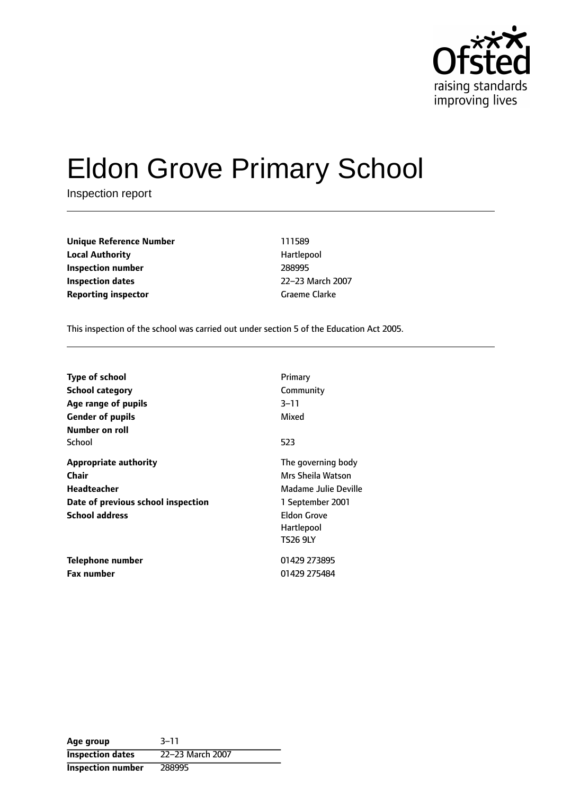

# Eldon Grove Primary School

Inspection report

| <b>Unique Reference Number</b> | 111589        |
|--------------------------------|---------------|
| <b>Local Authority</b>         | Hartlepool    |
| Inspection number              | 288995        |
| Inspection dates               | 22-23 March 2 |
| <b>Reporting inspector</b>     | Graeme Clarke |

**Local Authority** Hartlepool **Inspection number** 288995 **Inspection dates** 2223 March 2007

This inspection of the school was carried out under section 5 of the Education Act 2005.

| <b>Type of school</b><br>School category<br>Age range of pupils<br><b>Gender of pupils</b><br>Number on roll               | Primary<br>Community<br>3–11<br>Mixed                                                                                                      |
|----------------------------------------------------------------------------------------------------------------------------|--------------------------------------------------------------------------------------------------------------------------------------------|
| School                                                                                                                     | 523                                                                                                                                        |
| <b>Appropriate authority</b><br>Chair<br><b>Headteacher</b><br>Date of previous school inspection<br><b>School address</b> | The governing body<br>Mrs Sheila Watson<br>Madame Julie Deville<br>1 September 2001<br><b>Eldon Grove</b><br>Hartlepool<br><b>TS26 9LY</b> |
| Telephone number<br><b>Fax number</b>                                                                                      | 01429 273895<br>01429 275484                                                                                                               |

**Age** group 3-11 **Inspection dates** 22-23 March 2007 **Inspection number** 288995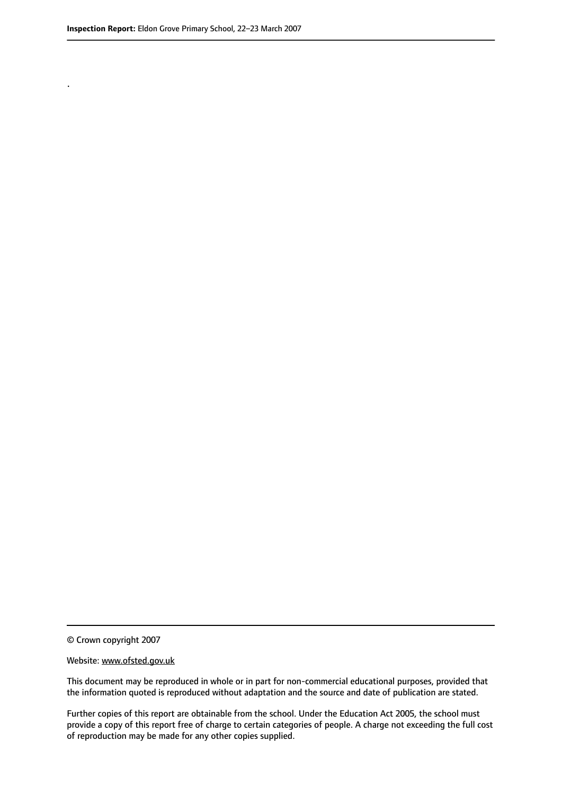.

© Crown copyright 2007

#### Website: www.ofsted.gov.uk

This document may be reproduced in whole or in part for non-commercial educational purposes, provided that the information quoted is reproduced without adaptation and the source and date of publication are stated.

Further copies of this report are obtainable from the school. Under the Education Act 2005, the school must provide a copy of this report free of charge to certain categories of people. A charge not exceeding the full cost of reproduction may be made for any other copies supplied.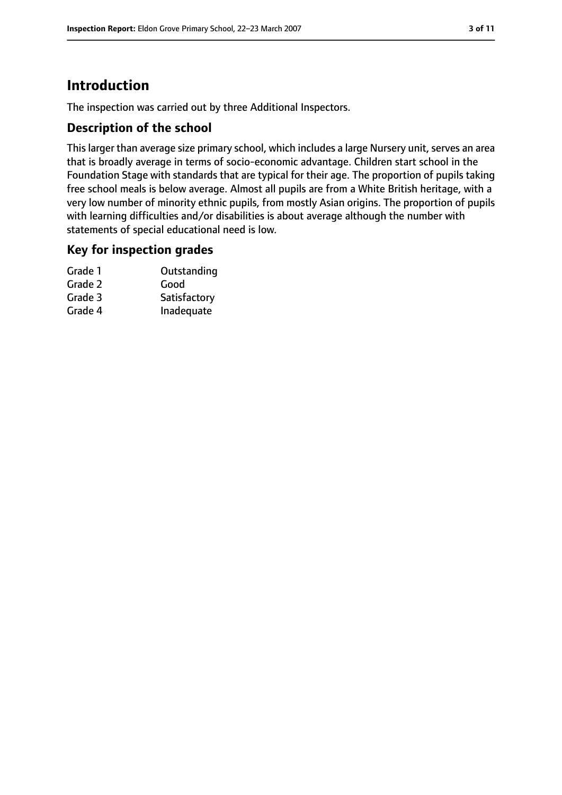# **Introduction**

The inspection was carried out by three Additional Inspectors.

## **Description of the school**

This larger than average size primary school, which includes a large Nursery unit, serves an area that is broadly average in terms of socio-economic advantage. Children start school in the Foundation Stage with standards that are typical for their age. The proportion of pupils taking free school meals is below average. Almost all pupils are from a White British heritage, with a very low number of minority ethnic pupils, from mostly Asian origins. The proportion of pupils with learning difficulties and/or disabilities is about average although the number with statements of special educational need is low.

## **Key for inspection grades**

| Grade 1 | Outstanding  |
|---------|--------------|
| Grade 2 | Good         |
| Grade 3 | Satisfactory |
| Grade 4 | Inadequate   |
|         |              |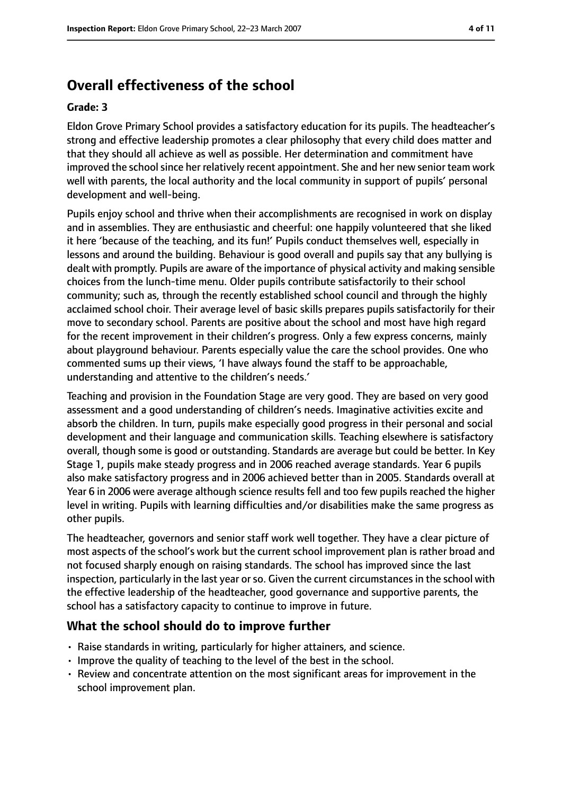# **Overall effectiveness of the school**

#### **Grade: 3**

Eldon Grove Primary School provides a satisfactory education for its pupils. The headteacher's strong and effective leadership promotes a clear philosophy that every child does matter and that they should all achieve as well as possible. Her determination and commitment have improved the school since her relatively recent appointment. She and her new senior team work well with parents, the local authority and the local community in support of pupils' personal development and well-being.

Pupils enjoy school and thrive when their accomplishments are recognised in work on display and in assemblies. They are enthusiastic and cheerful: one happily volunteered that she liked it here 'because of the teaching, and its fun!' Pupils conduct themselves well, especially in lessons and around the building. Behaviour is good overall and pupils say that any bullying is dealt with promptly. Pupils are aware of the importance of physical activity and making sensible choices from the lunch-time menu. Older pupils contribute satisfactorily to their school community; such as, through the recently established school council and through the highly acclaimed school choir. Their average level of basic skills prepares pupils satisfactorily for their move to secondary school. Parents are positive about the school and most have high regard for the recent improvement in their children's progress. Only a few express concerns, mainly about playground behaviour. Parents especially value the care the school provides. One who commented sums up their views, 'I have always found the staff to be approachable, understanding and attentive to the children's needs.'

Teaching and provision in the Foundation Stage are very good. They are based on very good assessment and a good understanding of children's needs. Imaginative activities excite and absorb the children. In turn, pupils make especially good progress in their personal and social development and their language and communication skills. Teaching elsewhere is satisfactory overall, though some is good or outstanding. Standards are average but could be better. In Key Stage 1, pupils make steady progress and in 2006 reached average standards. Year 6 pupils also make satisfactory progress and in 2006 achieved better than in 2005. Standards overall at Year 6 in 2006 were average although science results fell and too few pupils reached the higher level in writing. Pupils with learning difficulties and/or disabilities make the same progress as other pupils.

The headteacher, governors and senior staff work well together. They have a clear picture of most aspects of the school's work but the current school improvement plan is rather broad and not focused sharply enough on raising standards. The school has improved since the last inspection, particularly in the last year or so. Given the current circumstances in the school with the effective leadership of the headteacher, good governance and supportive parents, the school has a satisfactory capacity to continue to improve in future.

# **What the school should do to improve further**

- Raise standards in writing, particularly for higher attainers, and science.
- Improve the quality of teaching to the level of the best in the school.
- Review and concentrate attention on the most significant areas for improvement in the school improvement plan.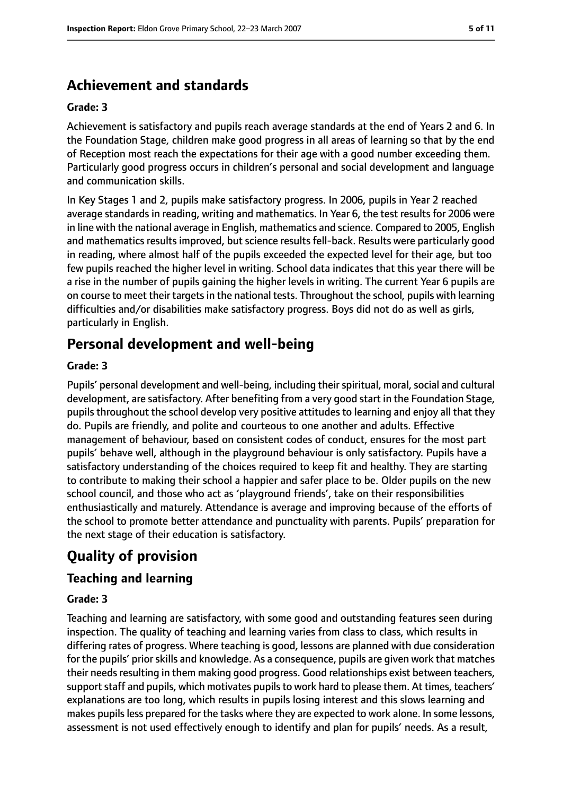# **Achievement and standards**

#### **Grade: 3**

Achievement is satisfactory and pupils reach average standards at the end of Years 2 and 6. In the Foundation Stage, children make good progress in all areas of learning so that by the end of Reception most reach the expectations for their age with a good number exceeding them. Particularly good progress occurs in children's personal and social development and language and communication skills.

In Key Stages 1 and 2, pupils make satisfactory progress. In 2006, pupils in Year 2 reached average standards in reading, writing and mathematics. In Year 6, the test results for 2006 were in line with the national average in English, mathematics and science. Compared to 2005, English and mathematics results improved, but science results fell-back. Results were particularly good in reading, where almost half of the pupils exceeded the expected level for their age, but too few pupils reached the higher level in writing. School data indicates that this year there will be a rise in the number of pupils gaining the higher levels in writing. The current Year 6 pupils are on course to meet their targetsin the national tests. Throughout the school, pupils with learning difficulties and/or disabilities make satisfactory progress. Boys did not do as well as girls, particularly in English.

# **Personal development and well-being**

#### **Grade: 3**

Pupils' personal development and well-being, including their spiritual, moral, social and cultural development, are satisfactory. After benefiting from a very good start in the Foundation Stage, pupils throughout the school develop very positive attitudes to learning and enjoy all that they do. Pupils are friendly, and polite and courteous to one another and adults. Effective management of behaviour, based on consistent codes of conduct, ensures for the most part pupils' behave well, although in the playground behaviour is only satisfactory. Pupils have a satisfactory understanding of the choices required to keep fit and healthy. They are starting to contribute to making their school a happier and safer place to be. Older pupils on the new school council, and those who act as 'playground friends', take on their responsibilities enthusiastically and maturely. Attendance is average and improving because of the efforts of the school to promote better attendance and punctuality with parents. Pupils' preparation for the next stage of their education is satisfactory.

# **Quality of provision**

## **Teaching and learning**

#### **Grade: 3**

Teaching and learning are satisfactory, with some good and outstanding features seen during inspection. The quality of teaching and learning varies from class to class, which results in differing rates of progress. Where teaching is good, lessons are planned with due consideration for the pupils' prior skills and knowledge. As a consequence, pupils are given work that matches their needs resulting in them making good progress. Good relationships exist between teachers, support staff and pupils, which motivates pupils to work hard to please them. At times, teachers' explanations are too long, which results in pupils losing interest and this slows learning and makes pupils less prepared for the tasks where they are expected to work alone. In some lessons, assessment is not used effectively enough to identify and plan for pupils' needs. As a result,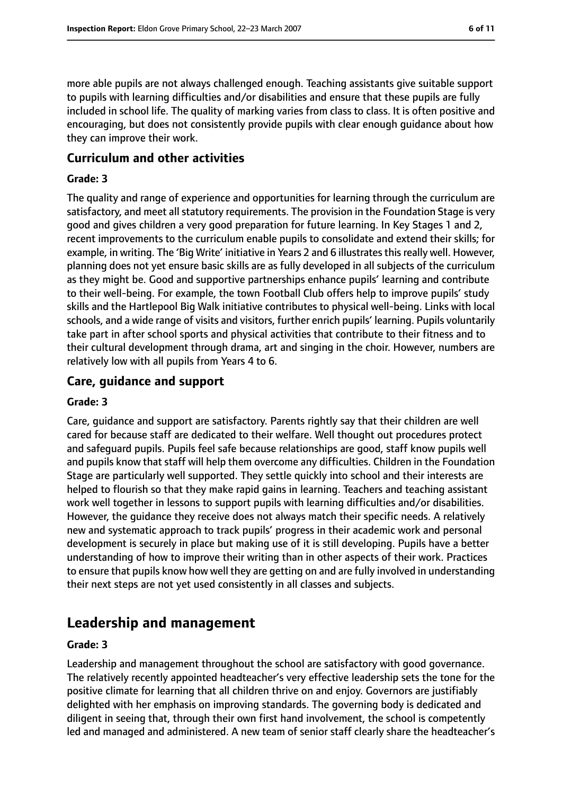more able pupils are not always challenged enough. Teaching assistants give suitable support to pupils with learning difficulties and/or disabilities and ensure that these pupils are fully included in school life. The quality of marking varies from class to class. It is often positive and encouraging, but does not consistently provide pupils with clear enough guidance about how they can improve their work.

#### **Curriculum and other activities**

#### **Grade: 3**

The quality and range of experience and opportunities for learning through the curriculum are satisfactory, and meet all statutory requirements. The provision in the Foundation Stage is very good and gives children a very good preparation for future learning. In Key Stages 1 and 2, recent improvements to the curriculum enable pupils to consolidate and extend their skills; for example, in writing. The 'Big Write' initiative in Years 2 and 6 illustrates this really well. However, planning does not yet ensure basic skills are as fully developed in all subjects of the curriculum as they might be. Good and supportive partnerships enhance pupils' learning and contribute to their well-being. For example, the town Football Club offers help to improve pupils' study skills and the Hartlepool Big Walk initiative contributes to physical well-being. Links with local schools, and a wide range of visits and visitors, further enrich pupils' learning. Pupils voluntarily take part in after school sports and physical activities that contribute to their fitness and to their cultural development through drama, art and singing in the choir. However, numbers are relatively low with all pupils from Years 4 to 6.

#### **Care, guidance and support**

#### **Grade: 3**

Care, guidance and support are satisfactory. Parents rightly say that their children are well cared for because staff are dedicated to their welfare. Well thought out procedures protect and safeguard pupils. Pupils feel safe because relationships are good, staff know pupils well and pupils know that staff will help them overcome any difficulties. Children in the Foundation Stage are particularly well supported. They settle quickly into school and their interests are helped to flourish so that they make rapid gains in learning. Teachers and teaching assistant work well together in lessons to support pupils with learning difficulties and/or disabilities. However, the guidance they receive does not always match their specific needs. A relatively new and systematic approach to track pupils' progress in their academic work and personal development is securely in place but making use of it is still developing. Pupils have a better understanding of how to improve their writing than in other aspects of their work. Practices to ensure that pupils know how well they are getting on and are fully involved in understanding their next steps are not yet used consistently in all classes and subjects.

# **Leadership and management**

#### **Grade: 3**

Leadership and management throughout the school are satisfactory with good governance. The relatively recently appointed headteacher's very effective leadership sets the tone for the positive climate for learning that all children thrive on and enjoy. Governors are justifiably delighted with her emphasis on improving standards. The governing body is dedicated and diligent in seeing that, through their own first hand involvement, the school is competently led and managed and administered. A new team of senior staff clearly share the headteacher's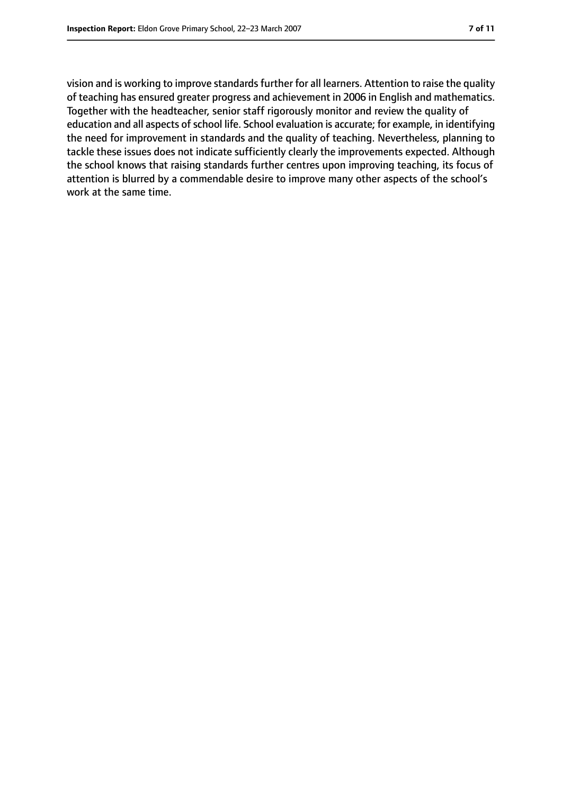vision and is working to improve standards further for all learners. Attention to raise the quality of teaching has ensured greater progress and achievement in 2006 in English and mathematics. Together with the headteacher, senior staff rigorously monitor and review the quality of education and all aspects of school life. School evaluation is accurate; for example, in identifying the need for improvement in standards and the quality of teaching. Nevertheless, planning to tackle these issues does not indicate sufficiently clearly the improvements expected. Although the school knows that raising standards further centres upon improving teaching, its focus of attention is blurred by a commendable desire to improve many other aspects of the school's work at the same time.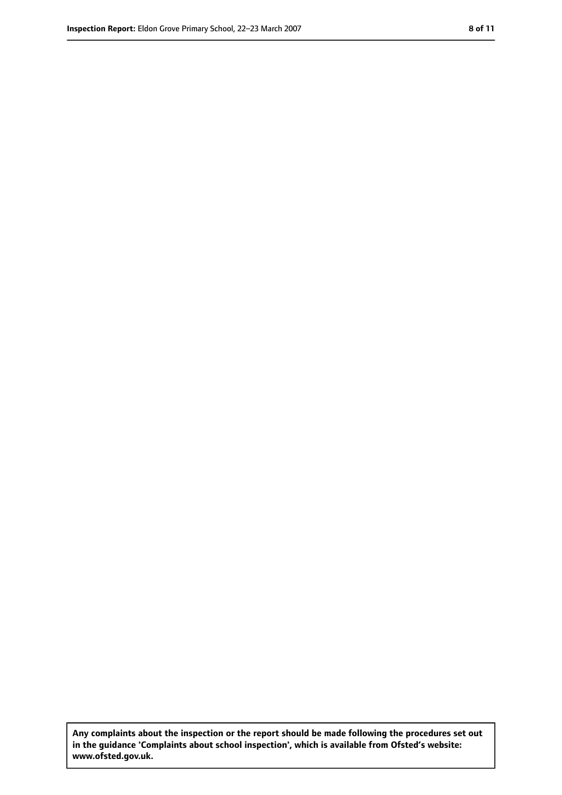**Any complaints about the inspection or the report should be made following the procedures set out in the guidance 'Complaints about school inspection', which is available from Ofsted's website: www.ofsted.gov.uk.**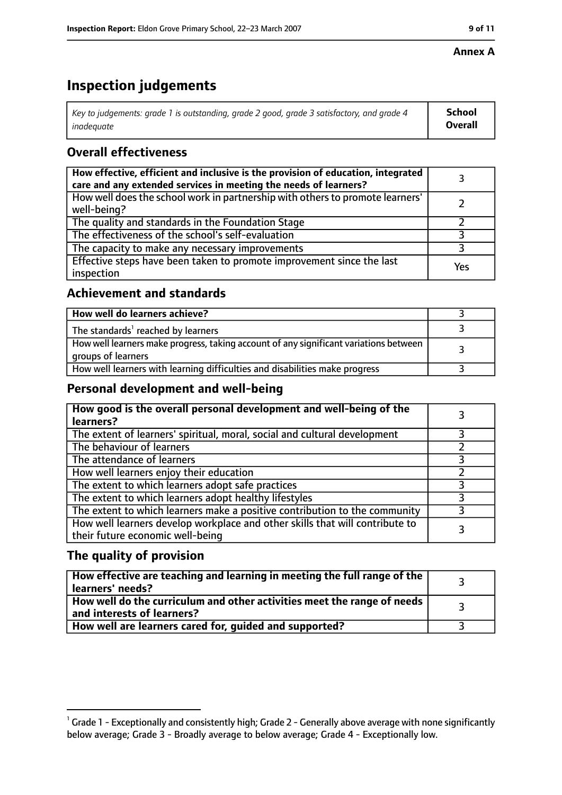## **Annex A**

# **Inspection judgements**

| Key to judgements: grade 1 is outstanding, grade 2 good, grade 3 satisfactory, and grade 4 | School         |
|--------------------------------------------------------------------------------------------|----------------|
| inadeauate                                                                                 | <b>Overall</b> |

# **Overall effectiveness**

| How effective, efficient and inclusive is the provision of education, integrated<br>care and any extended services in meeting the needs of learners? |     |
|------------------------------------------------------------------------------------------------------------------------------------------------------|-----|
| How well does the school work in partnership with others to promote learners'<br>well-being?                                                         |     |
| The quality and standards in the Foundation Stage                                                                                                    |     |
| The effectiveness of the school's self-evaluation                                                                                                    |     |
| The capacity to make any necessary improvements                                                                                                      |     |
| Effective steps have been taken to promote improvement since the last<br>inspection                                                                  | Yes |

# **Achievement and standards**

| How well do learners achieve?                                                                               |  |
|-------------------------------------------------------------------------------------------------------------|--|
| The standards <sup>1</sup> reached by learners                                                              |  |
| How well learners make progress, taking account of any significant variations between<br>groups of learners |  |
| How well learners with learning difficulties and disabilities make progress                                 |  |

# **Personal development and well-being**

| How good is the overall personal development and well-being of the<br>learners?                                  |  |
|------------------------------------------------------------------------------------------------------------------|--|
| The extent of learners' spiritual, moral, social and cultural development                                        |  |
| The behaviour of learners                                                                                        |  |
| The attendance of learners                                                                                       |  |
| How well learners enjoy their education                                                                          |  |
| The extent to which learners adopt safe practices                                                                |  |
| The extent to which learners adopt healthy lifestyles                                                            |  |
| The extent to which learners make a positive contribution to the community                                       |  |
| How well learners develop workplace and other skills that will contribute to<br>their future economic well-being |  |

# **The quality of provision**

| How effective are teaching and learning in meeting the full range of the<br>learners' needs?          |  |
|-------------------------------------------------------------------------------------------------------|--|
| How well do the curriculum and other activities meet the range of needs<br>and interests of learners? |  |
| How well are learners cared for, guided and supported?                                                |  |

 $^1$  Grade 1 - Exceptionally and consistently high; Grade 2 - Generally above average with none significantly below average; Grade 3 - Broadly average to below average; Grade 4 - Exceptionally low.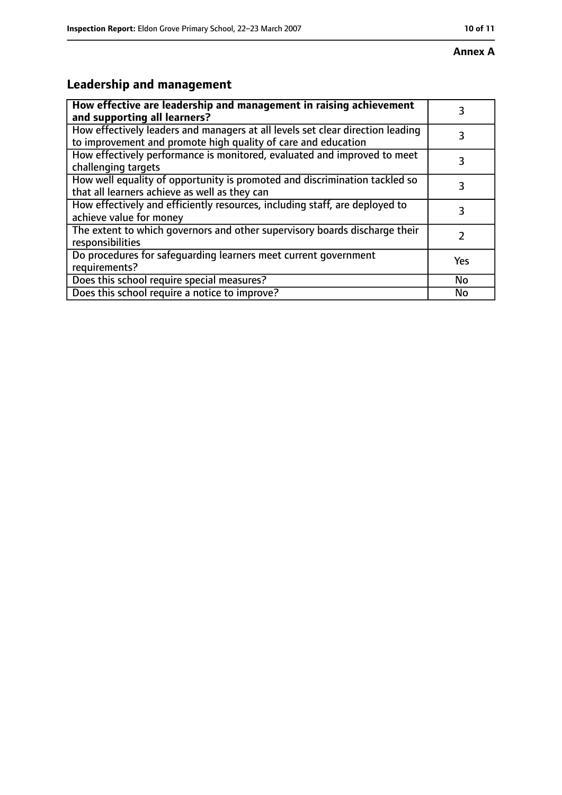# **Leadership and management**

| How effective are leadership and management in raising achievement<br>and supporting all learners?                                              | 3         |
|-------------------------------------------------------------------------------------------------------------------------------------------------|-----------|
| How effectively leaders and managers at all levels set clear direction leading<br>to improvement and promote high quality of care and education |           |
| How effectively performance is monitored, evaluated and improved to meet<br>challenging targets                                                 | 3         |
| How well equality of opportunity is promoted and discrimination tackled so<br>that all learners achieve as well as they can                     |           |
| How effectively and efficiently resources, including staff, are deployed to<br>achieve value for money                                          | 3         |
| The extent to which governors and other supervisory boards discharge their<br>responsibilities                                                  | 7         |
| Do procedures for safequarding learners meet current government<br>requirements?                                                                | Yes       |
| Does this school require special measures?                                                                                                      | <b>No</b> |
| Does this school require a notice to improve?                                                                                                   | No        |